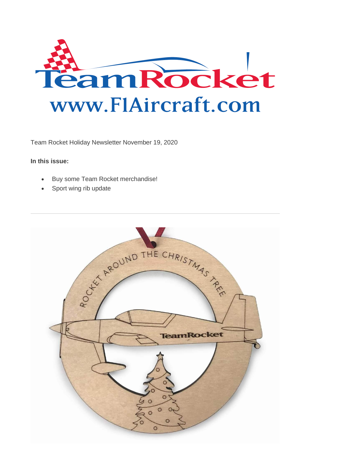

Team Rocket Holiday Newsletter November 19, 2020

## **In this issue:**

- Buy some Team Rocket merchandise!
- Sport wing rib update

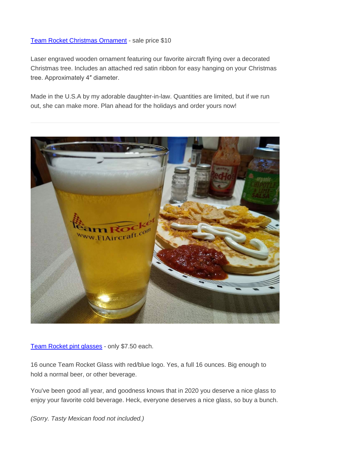## [Team Rocket Christmas Ornament](http://f1aircraft.bmetrack.com/c/l?u=B61AB9C&e=117931B&c=E356B&t=0&email=YlPgN3MnyA%2FiaD5QlNKbMXzBjzlZ2TJR&seq=1) - sale price \$10

Laser engraved wooden ornament featuring our favorite aircraft flying over a decorated Christmas tree. Includes an attached red satin ribbon for easy hanging on your Christmas tree. Approximately 4″ diameter.

Made in the U.S.A by my adorable daughter-in-law. Quantities are limited, but if we run out, she can make more. Plan ahead for the holidays and order yours now!



[Team Rocket pint glasses](http://f1aircraft.bmetrack.com/c/l?u=B61A82D&e=117931B&c=E356B&t=0&email=YlPgN3MnyA%2FiaD5QlNKbMXzBjzlZ2TJR&seq=1) - only \$7.50 each.

16 ounce Team Rocket Glass with red/blue logo. Yes, a full 16 ounces. Big enough to hold a normal beer, or other beverage.

You've been good all year, and goodness knows that in 2020 you deserve a nice glass to enjoy your favorite cold beverage. Heck, everyone deserves a nice glass, so buy a bunch.

*(Sorry. Tasty Mexican food not included.)*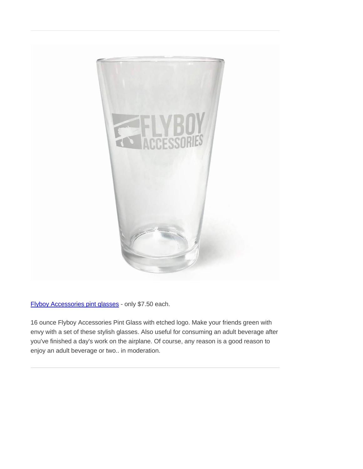

[Flyboy Accessories pint glasses](http://f1aircraft.bmetrack.com/c/l?u=B61BD07&e=117931B&c=E356B&t=0&email=YlPgN3MnyA%2FiaD5QlNKbMXzBjzlZ2TJR&seq=1) - only \$7.50 each.

16 ounce Flyboy Accessories Pint Glass with etched logo. Make your friends green with envy with a set of these stylish glasses. Also useful for consuming an adult beverage after you've finished a day's work on the airplane. Of course, any reason is a good reason to enjoy an adult beverage or two.. in moderation.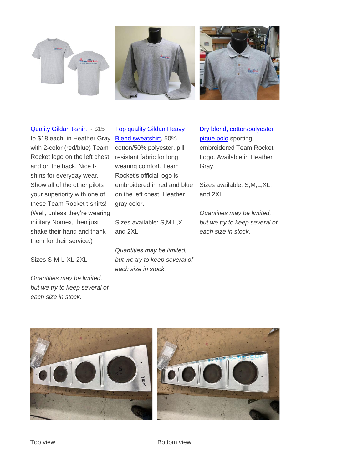



[Quality Gildan t-shirt](http://f1aircraft.bmetrack.com/c/l?u=B61C88B&e=117931B&c=E356B&t=0&email=YlPgN3MnyA%2FiaD5QlNKbMXzBjzlZ2TJR&seq=1) - \$15 to \$18 each, in Heather Gray with 2-color (red/blue) Team Rocket logo on the left chest and on the back. Nice tshirts for everyday wear. Show all of the other pilots your superiority with one of these Team Rocket t-shirts! (Well, unless they're wearing military Nomex, then just shake their hand and thank them for their service.)

[Top quality Gildan Heavy](http://f1aircraft.bmetrack.com/c/l?u=B61CE27&e=117931B&c=E356B&t=0&email=YlPgN3MnyA%2FiaD5QlNKbMXzBjzlZ2TJR&seq=1)  [Blend sweatshirt,](http://f1aircraft.bmetrack.com/c/l?u=B61CE27&e=117931B&c=E356B&t=0&email=YlPgN3MnyA%2FiaD5QlNKbMXzBjzlZ2TJR&seq=1) 50% cotton/50% polyester, pill resistant fabric for long wearing comfort. Team Rocket's official logo is embroidered in red and blue on the left chest. Heather gray color.

Sizes available: S,M,L,XL, and 2XL

*Quantities may be limited, but we try to keep several of each size in stock.*

[Dry blend, cotton/polyester](http://f1aircraft.bmetrack.com/c/l?u=B61D04D&e=117931B&c=E356B&t=0&email=YlPgN3MnyA%2FiaD5QlNKbMXzBjzlZ2TJR&seq=2)  [pique polo](http://f1aircraft.bmetrack.com/c/l?u=B61D04D&e=117931B&c=E356B&t=0&email=YlPgN3MnyA%2FiaD5QlNKbMXzBjzlZ2TJR&seq=2) sporting embroidered Team Rocket Logo. Available in Heather Gray.

Sizes available: S,M,L,XL, and 2XL

*Quantities may be limited, but we try to keep several of each size in stock.*

Sizes S-M-L-XL-2XL

*Quantities may be limited, but we try to keep several of each size in stock.*